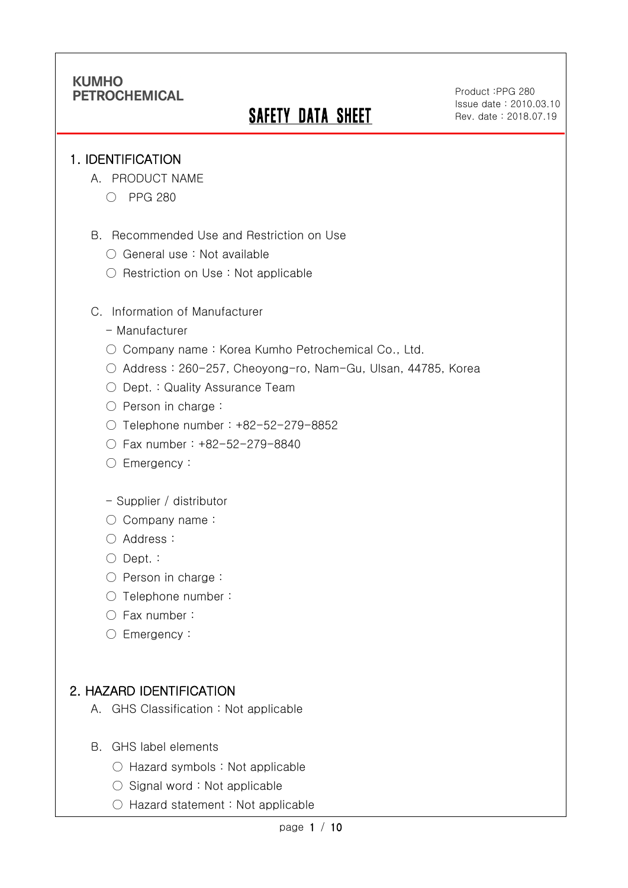# **SAFETY DATA SHEET**

Product :PPG 280 Issue date : 2010.03.10 Rev. date : 2018.07.19

.

#### 1. IDENTIFICATION

Ī

- A. PRODUCT NAME
	- PPG 280
- B. Recommended Use and Restriction on Use
	- General use : Not available
	- Restriction on Use : Not applicable
- C. Information of Manufacturer
	- Manufacturer
	- Company name: Korea Kumho Petrochemical Co., Ltd.
	- Address : 260-257, Cheoyong-ro, Nam-Gu, Ulsan, 44785, Korea
	- Dept. : Quality Assurance Team
	- Person in charge :
	- Telephone number : +82-52-279-8852
	- Fax number : +82-52-279-8840
	- Emergency:
	- Supplier / distributor
	- Company name:
	- Address :
	- Dept. :
	- Person in charge :
	- Telephone number :
	- Fax number :
	- Emergency:

### 2. HAZARD IDENTIFICATION

- A. GHS Classification : Not applicable
- B. GHS label elements
	- Hazard symbols : Not applicable
	- Signal word : Not applicable
	- Hazard statement : Not applicable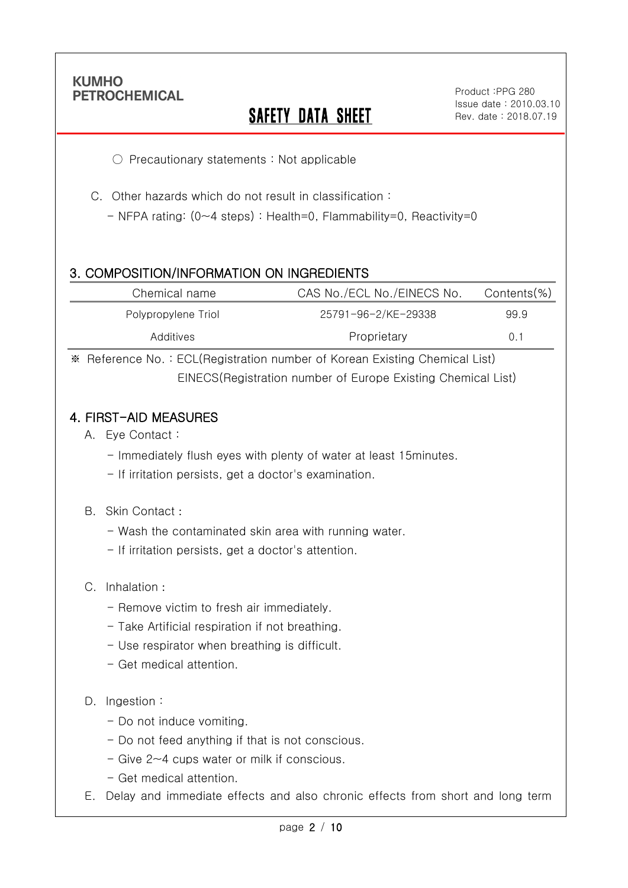Ī

# **SAFETY DATA SHEET**

.

○ Precautionary statements : Not applicable

C. Other hazards which do not result in classification :

- NFPA rating: (0~4 steps) : Health=0, Flammability=0, Reactivity=0

## 3. COMPOSITION/INFORMATION ON INGREDIENTS

| Chemical name       | CAS No./ECL No./EINECS No. | Contents(%) |
|---------------------|----------------------------|-------------|
| Polypropylene Triol | 25791-96-2/KE-29338        | 99.9        |
| Additives           | Proprietary                | 0.1         |

※ Reference No. : ECL(Registration number of Korean Existing Chemical List) EINECS(Registration number of Europe Existing Chemical List)

### 4. FIRST-AID MEASURES

- A. Eye Contact :
	- Immediately flush eyes with plenty of water at least 15minutes.
	- If irritation persists, get a doctor's examination.

#### B. Skin Contact :

- Wash the contaminated skin area with running water.
- If irritation persists, get a doctor's attention.

#### C. Inhalation :

- Remove victim to fresh air immediately.
- Take Artificial respiration if not breathing.
- Use respirator when breathing is difficult.
- Get medical attention.

#### D. Ingestion:

- Do not induce vomiting.
- Do not feed anything if that is not conscious.
- Give 2~4 cups water or milk if conscious.
- Get medical attention.
- E. Delay and immediate effects and also chronic effects from short and long term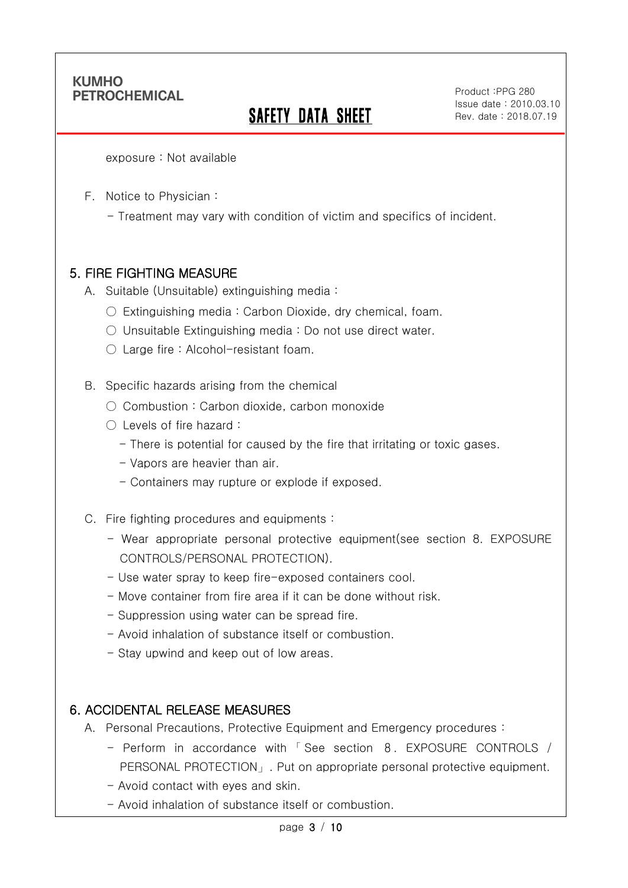Ī

# SAFETY DATA SHEET

Product :PPG 280 Issue date : 2010.03.10 Rev. date : 2018.07.19

.

exposure : Not available

- F. Notice to Physician :
	- Treatment may vary with condition of victim and specifics of incident.

### 5. FIRE FIGHTING MEASURE

- A. Suitable (Unsuitable) extinguishing media :
	- $\circ$  Extinguishing media : Carbon Dioxide, dry chemical, foam.
	- Unsuitable Extinguishing media : Do not use direct water.
	- Large fire : Alcohol-resistant foam.
- B. Specific hazards arising from the chemical
	- Combustion: Carbon dioxide, carbon monoxide
	- Levels of fire hazard :
		- There is potential for caused by the fire that irritating or toxic gases.
		- Vapors are heavier than air.
		- Containers may rupture or explode if exposed.
- C. Fire fighting procedures and equipments :
	- Wear appropriate personal protective equipment(see section 8. EXPOSURE CONTROLS/PERSONAL PROTECTION).
	- Use water spray to keep fire-exposed containers cool.
	- Move container from fire area if it can be done without risk.
	- Suppression using water can be spread fire.
	- Avoid inhalation of substance itself or combustion.
	- Stay upwind and keep out of low areas.

### 6. ACCIDENTAL RELEASE MEASURES

- A. Personal Precautions, Protective Equipment and Emergency procedures :
	- Perform in accordance with 「 See section 8. EXPOSURE CONTROLS / PERSONAL PROTECTION」. Put on appropriate personal protective equipment.
	- Avoid contact with eyes and skin.
	- Avoid inhalation of substance itself or combustion.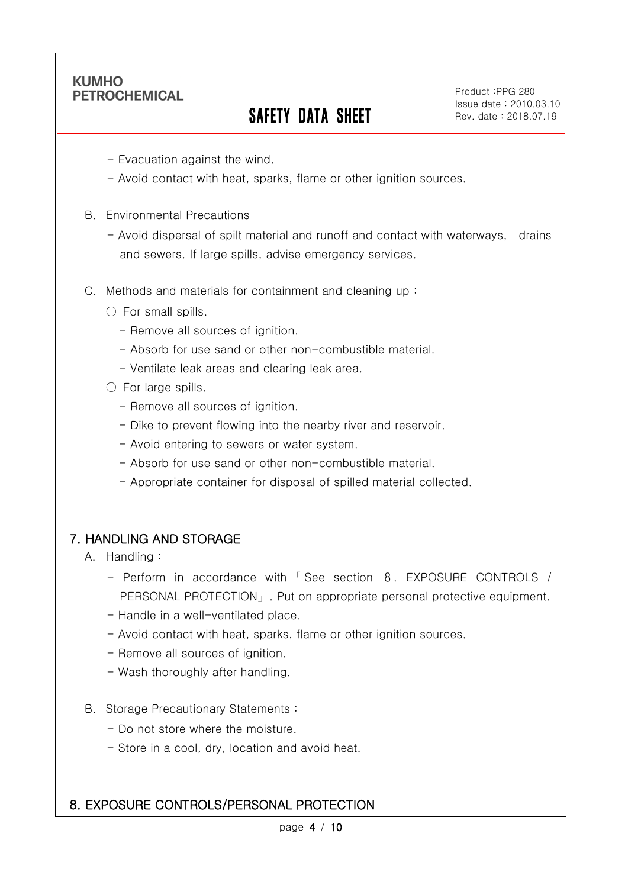Ī

# SAFETY DATA SHEET

Product :PPG 280 Issue date : 2010.03.10 Rev. date : 2018.07.19

.

- Evacuation against the wind.
- Avoid contact with heat, sparks, flame or other ignition sources.
- B. Environmental Precautions
	- Avoid dispersal of spilt material and runoff and contact with waterways, drains and sewers. If large spills, advise emergency services.
- C. Methods and materials for containment and cleaning up :
	- $\bigcirc$  For small spills.
		- Remove all sources of ignition.
		- Absorb for use sand or other non-combustible material.
		- Ventilate leak areas and clearing leak area.
	- For large spills.
		- Remove all sources of ignition.
		- Dike to prevent flowing into the nearby river and reservoir.
		- Avoid entering to sewers or water system.
		- Absorb for use sand or other non-combustible material.
		- Appropriate container for disposal of spilled material collected.

### 7. HANDLING AND STORAGE

- A. Handling :
	- Perform in accordance with 「 See section 8. EXPOSURE CONTROLS / PERSONAL PROTECTION」. Put on appropriate personal protective equipment.
	- Handle in a well-ventilated place.
	- Avoid contact with heat, sparks, flame or other ignition sources.
	- Remove all sources of ignition.
	- Wash thoroughly after handling.
- B. Storage Precautionary Statements :
	- Do not store where the moisture.
	- Store in a cool, dry, location and avoid heat.

### 8. EXPOSURE CONTROLS/PERSONAL PROTECTION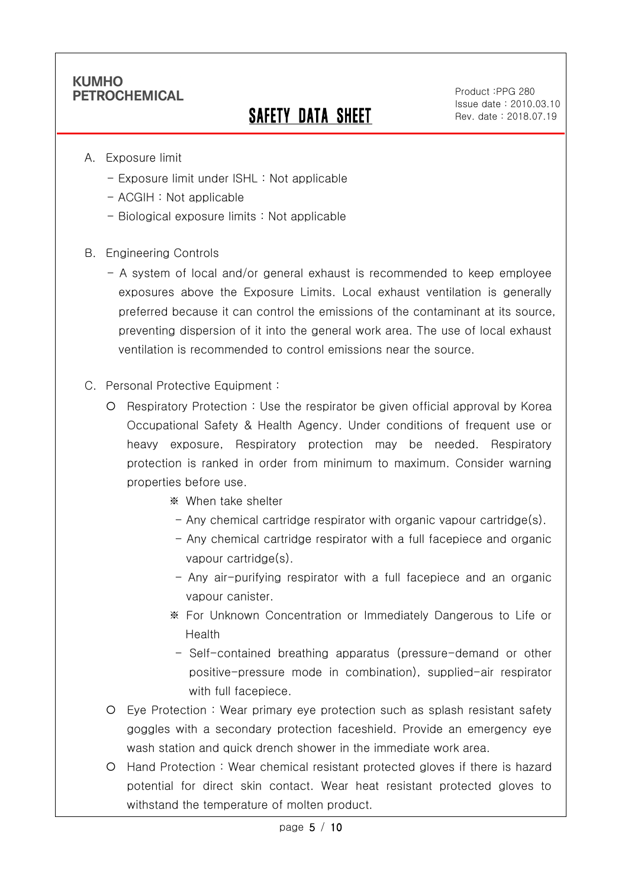Ī

# SAFETY DATA SHEET

Product :PPG 280 Issue date : 2010.03.10 Rev. date : 2018.07.19

.

- A. Exposure limit
	- Exposure limit under ISHL : Not applicable
	- ACGIH : Not applicable
	- Biological exposure limits : Not applicable
- B. Engineering Controls
	- A system of local and/or general exhaust is recommended to keep employee exposures above the Exposure Limits. Local exhaust ventilation is generally preferred because it can control the emissions of the contaminant at its source, preventing dispersion of it into the general work area. The use of local exhaust ventilation is recommended to control emissions near the source.
- C. Personal Protective Equipment :
	- Respiratory Protection : Use the respirator be given official approval by Korea Occupational Safety & Health Agency. Under conditions of frequent use or heavy exposure, Respiratory protection may be needed. Respiratory protection is ranked in order from minimum to maximum. Consider warning properties before use.
		- ※ When take shelter
		- $-$  Any chemical cartridge respirator with organic vapour cartridge(s).
		- Any chemical cartridge respirator with a full facepiece and organic vapour cartridge(s).
		- Any air-purifying respirator with a full facepiece and an organic vapour canister.
		- ※ For Unknown Concentration or Immediately Dangerous to Life or Health
		- Self-contained breathing apparatus (pressure-demand or other positive-pressure mode in combination), supplied-air respirator with full facepiece.
	- Eye Protection : Wear primary eye protection such as splash resistant safety goggles with a secondary protection faceshield. Provide an emergency eye wash station and quick drench shower in the immediate work area.
	- Hand Protection : Wear chemical resistant protected gloves if there is hazard potential for direct skin contact. Wear heat resistant protected gloves to withstand the temperature of molten product.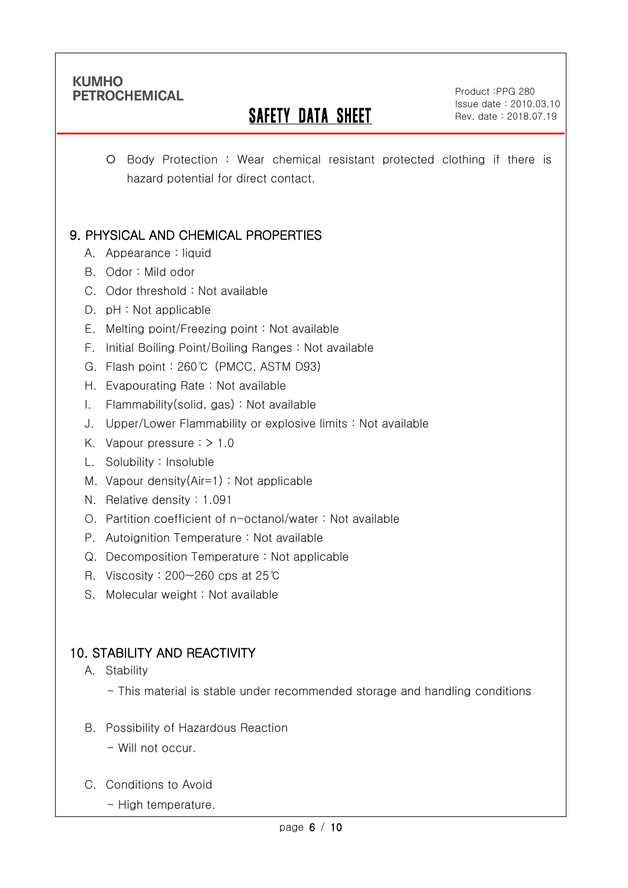Ī

# SAFETY DATA SHEET

Product :PPG 280 Issue date : 2010.03.10 Rev. date : 2018.07.19

.

 Body Protection : Wear chemical resistant protected clothing if there is hazard potential for direct contact.

# 9. PHYSICAL AND CHEMICAL PROPERTIES

- A. Appearance : liquid
- B. Odor : Mild odor
- C. Odor threshold : Not available
- D. pH : Not applicable
- E. Melting point/Freezing point : Not available
- F. Initial Boiling Point/Boiling Ranges : Not available
- G. Flash point : 260℃ (PMCC, ASTM D93)
- H. Evapourating Rate : Not available
- I. Flammability(solid, gas) : Not available
- J. Upper/Lower Flammability or explosive limits : Not available
- K. Vapour pressure  $:$  > 1.0
- L. Solubility : Insoluble
- M. Vapour density(Air=1) : Not applicable
- N. Relative density : 1.091
- O. Partition coefficient of n-octanol/water : Not available
- P. Autoignition Temperature : Not available
- Q. Decomposition Temperature : Not applicable
- R. Viscosity : 200~260 cps at 25℃
- S. Molecular weight: Not available

# 10. STABILITY AND REACTIVITY

- A. Stability
	- This material is stable under recommended storage and handling conditions
- B. Possibility of Hazardous Reaction
	- Will not occur.
- C. Conditions to Avoid
	- High temperature.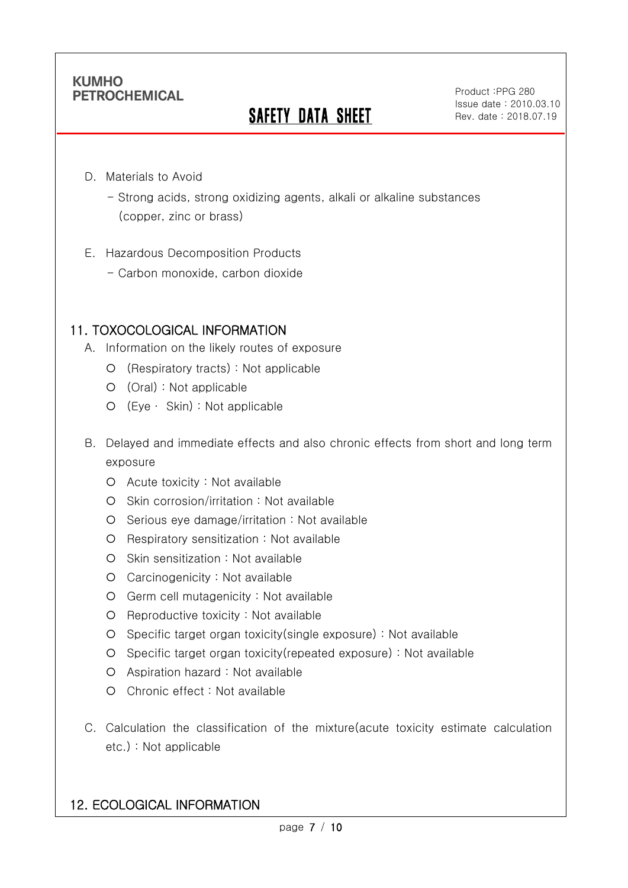Ī

# **SAFETY DATA SHEET**

Product :PPG 280 Issue date : 2010.03.10 Rev. date : 2018.07.19

.

- D. Materials to Avoid
	- Strong acids, strong oxidizing agents, alkali or alkaline substances (copper, zinc or brass)
- E. Hazardous Decomposition Products
	- Carbon monoxide, carbon dioxide

## 11. TOXOCOLOGICAL INFORMATION

- A. Information on the likely routes of exposure
	- (Respiratory tracts) : Not applicable
	- (Oral) : Not applicable
	- (Eye ∙ Skin) : Not applicable
- B. Delayed and immediate effects and also chronic effects from short and long term exposure
	- Acute toxicity : Not available
	- O Skin corrosion/irritation : Not available
	- O Serious eye damage/irritation : Not available
	- O Respiratory sensitization : Not available
	- O Skin sensitization : Not available
	- Carcinogenicity : Not available
	- Germ cell mutagenicity : Not available
	- O Reproductive toxicity : Not available
	- Specific target organ toxicity(single exposure) : Not available
	- Specific target organ toxicity(repeated exposure) : Not available
	- Aspiration hazard : Not available
	- Chronic effect : Not available
- C. Calculation the classification of the mixture(acute toxicity estimate calculation etc.) : Not applicable

### 12. ECOLOGICAL INFORMATION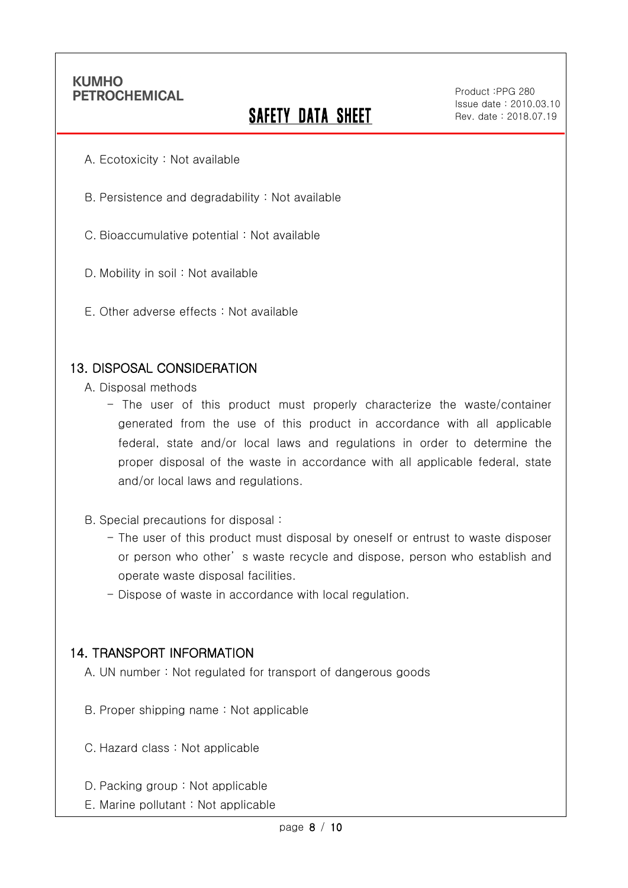Ī

# **SAFETY DATA SHEET**

Product :PPG 280 Issue date : 2010.03.10 Rev. date : 2018.07.19

.

- A. Ecotoxicity : Not available
- B. Persistence and degradability : Not available
- C. Bioaccumulative potential : Not available
- D. Mobility in soil : Not available
- E. Other adverse effects : Not available

#### 13. DISPOSAL CONSIDERATION

- A. Disposal methods
	- The user of this product must properly characterize the waste/container generated from the use of this product in accordance with all applicable federal, state and/or local laws and regulations in order to determine the proper disposal of the waste in accordance with all applicable federal, state and/or local laws and regulations.
- B. Special precautions for disposal :
	- The user of this product must disposal by oneself or entrust to waste disposer or person who other' s waste recycle and dispose, person who establish and operate waste disposal facilities.
	- Dispose of waste in accordance with local regulation.

#### 14. TRANSPORT INFORMATION

- A. UN number : Not regulated for transport of dangerous goods
- B. Proper shipping name : Not applicable
- C. Hazard class : Not applicable
- D. Packing group : Not applicable
- E. Marine pollutant : Not applicable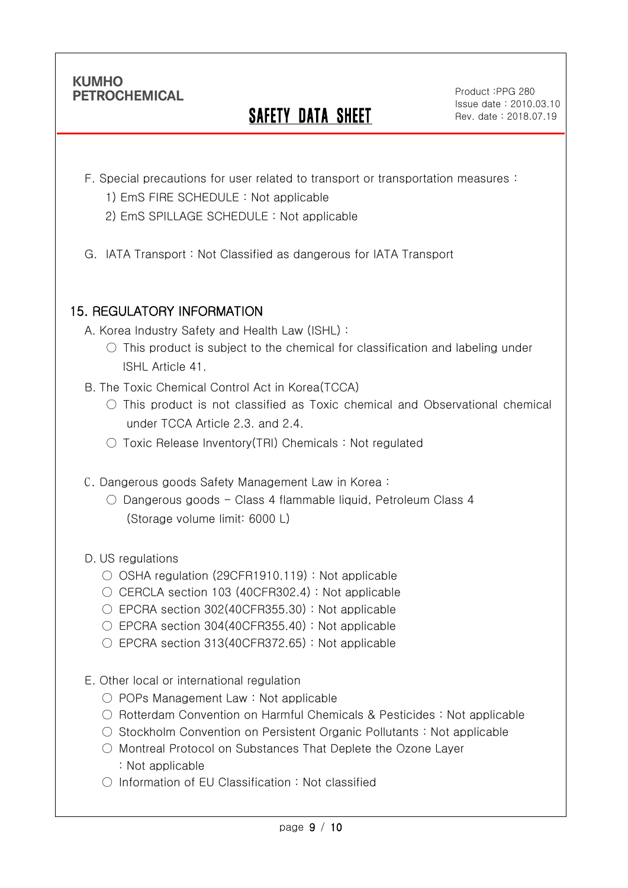Ī

# SAFETY DATA SHEET

Product :PPG 280 Issue date : 2010.03.10 Rev. date : 2018.07.19

.

- F. Special precautions for user related to transport or transportation measures :
	- 1) EmS FIRE SCHEDULE : Not applicable
	- 2) EmS SPILLAGE SCHEDULE : Not applicable
- G. IATA Transport : Not Classified as dangerous for IATA Transport

## 15. REGULATORY INFORMATION

- A. Korea Industry Safety and Health Law (ISHL) :
	- $\circ$  This product is subject to the chemical for classification and labeling under ISHL Article 41.
- B. The Toxic Chemical Control Act in Korea(TCCA)
	- This product is not classified as Toxic chemical and Observational chemical under TCCA Article 2.3. and 2.4.
	- Toxic Release Inventory(TRI) Chemicals : Not regulated
- C. Dangerous goods Safety Management Law in Korea :
	- $\circ$  Dangerous goods Class 4 flammable liquid, Petroleum Class 4 (Storage volume limit: 6000 L)
- D. US regulations
	- OSHA regulation (29CFR1910.119) : Not applicable
	- $\circ$  CERCLA section 103 (40CFR302.4) : Not applicable
	- EPCRA section 302(40CFR355.30): Not applicable
	- $\circ$  EPCRA section 304(40CFR355.40) : Not applicable
	- EPCRA section 313(40CFR372.65): Not applicable
- E. Other local or international regulation
	- POPs Management Law : Not applicable
	- Rotterdam Convention on Harmful Chemicals & Pesticides : Not applicable
	- Stockholm Convention on Persistent Organic Pollutants : Not applicable
	- Montreal Protocol on Substances That Deplete the Ozone Layer : Not applicable
	- Information of EU Classification : Not classified